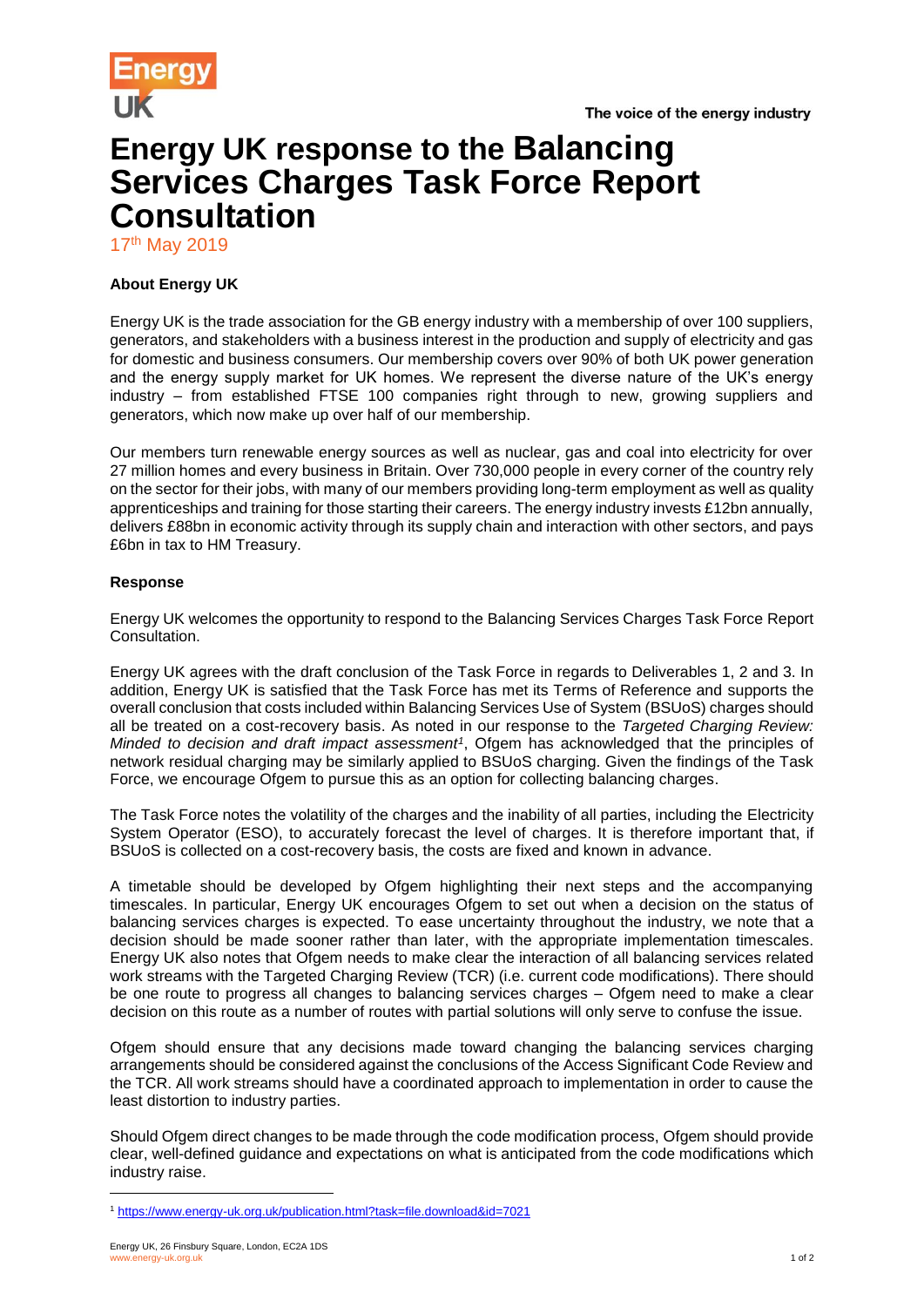



## **Energy UK response to the Balancing Services Charges Task Force Report Consultation**

17<sup>th</sup> May 2019

## **About Energy UK**

Energy UK is the trade association for the GB energy industry with a membership of over 100 suppliers, generators, and stakeholders with a business interest in the production and supply of electricity and gas for domestic and business consumers. Our membership covers over 90% of both UK power generation and the energy supply market for UK homes. We represent the diverse nature of the UK's energy industry – from established FTSE 100 companies right through to new, growing suppliers and generators, which now make up over half of our membership.

Our members turn renewable energy sources as well as nuclear, gas and coal into electricity for over 27 million homes and every business in Britain. Over 730,000 people in every corner of the country rely on the sector for their jobs, with many of our members providing long-term employment as well as quality apprenticeships and training for those starting their careers. The energy industry invests £12bn annually, delivers £88bn in economic activity through its supply chain and interaction with other sectors, and pays £6bn in tax to HM Treasury.

## **Response**

Energy UK welcomes the opportunity to respond to the Balancing Services Charges Task Force Report Consultation.

Energy UK agrees with the draft conclusion of the Task Force in regards to Deliverables 1, 2 and 3. In addition, Energy UK is satisfied that the Task Force has met its Terms of Reference and supports the overall conclusion that costs included within Balancing Services Use of System (BSUoS) charges should all be treated on a cost-recovery basis. As noted in our response to the *Targeted Charging Review: Minded to decision and draft impact assessment<sup>1</sup>* , Ofgem has acknowledged that the principles of network residual charging may be similarly applied to BSUoS charging. Given the findings of the Task Force, we encourage Ofgem to pursue this as an option for collecting balancing charges.

The Task Force notes the volatility of the charges and the inability of all parties, including the Electricity System Operator (ESO), to accurately forecast the level of charges. It is therefore important that, if BSUoS is collected on a cost-recovery basis, the costs are fixed and known in advance.

A timetable should be developed by Ofgem highlighting their next steps and the accompanying timescales. In particular, Energy UK encourages Ofgem to set out when a decision on the status of balancing services charges is expected. To ease uncertainty throughout the industry, we note that a decision should be made sooner rather than later, with the appropriate implementation timescales. Energy UK also notes that Ofgem needs to make clear the interaction of all balancing services related work streams with the Targeted Charging Review (TCR) (i.e. current code modifications). There should be one route to progress all changes to balancing services charges – Ofgem need to make a clear decision on this route as a number of routes with partial solutions will only serve to confuse the issue.

Ofgem should ensure that any decisions made toward changing the balancing services charging arrangements should be considered against the conclusions of the Access Significant Code Review and the TCR. All work streams should have a coordinated approach to implementation in order to cause the least distortion to industry parties.

Should Ofgem direct changes to be made through the code modification process, Ofgem should provide clear, well-defined guidance and expectations on what is anticipated from the code modifications which industry raise.

l

<sup>1</sup> <https://www.energy-uk.org.uk/publication.html?task=file.download&id=7021>